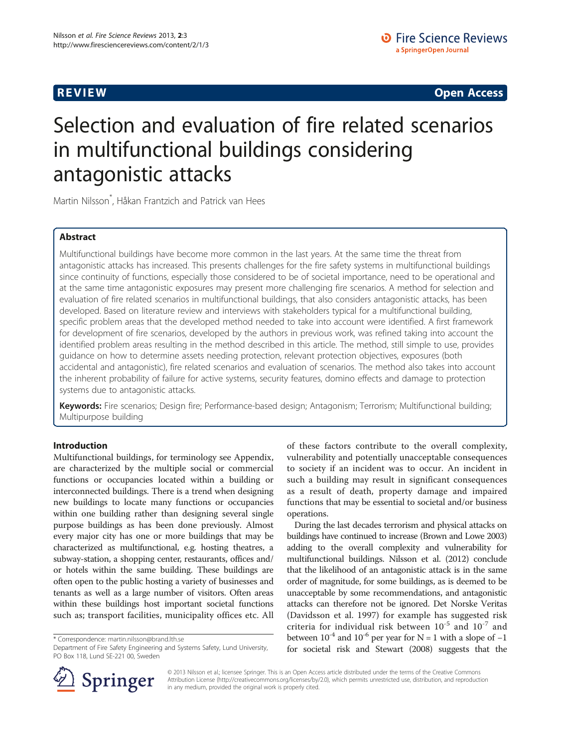**REVIEW REVIEW CONSTRUCTER ACCESS** 

# Selection and evaluation of fire related scenarios in multifunctional buildings considering antagonistic attacks

Martin Nilsson\* , Håkan Frantzich and Patrick van Hees

# Abstract

Multifunctional buildings have become more common in the last years. At the same time the threat from antagonistic attacks has increased. This presents challenges for the fire safety systems in multifunctional buildings since continuity of functions, especially those considered to be of societal importance, need to be operational and at the same time antagonistic exposures may present more challenging fire scenarios. A method for selection and evaluation of fire related scenarios in multifunctional buildings, that also considers antagonistic attacks, has been developed. Based on literature review and interviews with stakeholders typical for a multifunctional building, specific problem areas that the developed method needed to take into account were identified. A first framework for development of fire scenarios, developed by the authors in previous work, was refined taking into account the identified problem areas resulting in the method described in this article. The method, still simple to use, provides guidance on how to determine assets needing protection, relevant protection objectives, exposures (both accidental and antagonistic), fire related scenarios and evaluation of scenarios. The method also takes into account the inherent probability of failure for active systems, security features, domino effects and damage to protection systems due to antagonistic attacks.

Keywords: Fire scenarios; Design fire; Performance-based design; Antagonism; Terrorism; Multifunctional building; Multipurpose building

# Introduction

Multifunctional buildings, for terminology see [Appendix](#page-17-0), are characterized by the multiple social or commercial functions or occupancies located within a building or interconnected buildings. There is a trend when designing new buildings to locate many functions or occupancies within one building rather than designing several single purpose buildings as has been done previously. Almost every major city has one or more buildings that may be characterized as multifunctional, e.g. hosting theatres, a subway-station, a shopping center, restaurants, offices and/ or hotels within the same building. These buildings are often open to the public hosting a variety of businesses and tenants as well as a large number of visitors. Often areas within these buildings host important societal functions such as; transport facilities, municipality offices etc. All



During the last decades terrorism and physical attacks on buildings have continued to increase (Brown and Lowe [2003](#page-18-0)) adding to the overall complexity and vulnerability for multifunctional buildings. Nilsson et al. [\(2012](#page-18-0)) conclude that the likelihood of an antagonistic attack is in the same order of magnitude, for some buildings, as is deemed to be unacceptable by some recommendations, and antagonistic attacks can therefore not be ignored. Det Norske Veritas (Davidsson et al. [1997\)](#page-18-0) for example has suggested risk criteria for individual risk between  $10^{-5}$  and  $10^{-7}$  and between  $10^{-4}$  and  $10^{-6}$  per year for N = 1 with a slope of -1 for societal risk and Stewart [\(2008](#page-19-0)) suggests that the



© 2013 Nilsson et al.; licensee Springer. This is an Open Access article distributed under the terms of the Creative Commons Attribution License [\(http://creativecommons.org/licenses/by/2.0\)](http://creativecommons.org/licenses/by/2.0), which permits unrestricted use, distribution, and reproduction in any medium, provided the original work is properly cited.

<sup>\*</sup> Correspondence: [martin.nilsson@brand.lth.se](mailto:martin.nilsson@brand.lth.se)

Department of Fire Safety Engineering and Systems Safety, Lund University, PO Box 118, Lund SE-221 00, Sweden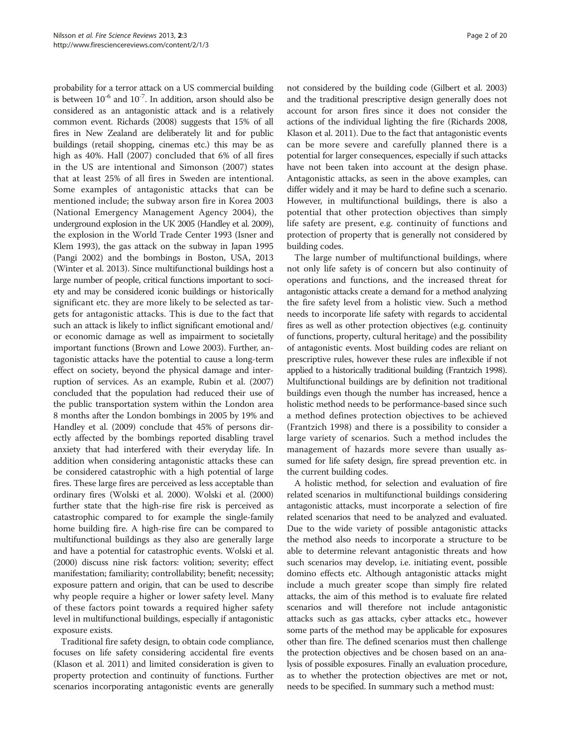probability for a terror attack on a US commercial building is between  $10^{-6}$  and  $10^{-7}$ . In addition, arson should also be considered as an antagonistic attack and is a relatively common event. Richards ([2008\)](#page-19-0) suggests that 15% of all fires in New Zealand are deliberately lit and for public buildings (retail shopping, cinemas etc.) this may be as high as 40%. Hall [\(2007](#page-18-0)) concluded that 6% of all fires in the US are intentional and Simonson ([2007\)](#page-19-0) states that at least 25% of all fires in Sweden are intentional. Some examples of antagonistic attacks that can be mentioned include; the subway arson fire in Korea 2003 (National Emergency Management Agency [2004\)](#page-18-0), the underground explosion in the UK 2005 (Handley et al. [2009\)](#page-18-0), the explosion in the World Trade Center 1993 (Isner and Klem [1993\)](#page-18-0), the gas attack on the subway in Japan 1995 (Pangi [2002](#page-18-0)) and the bombings in Boston, USA, 2013 (Winter et al. [2013](#page-19-0)). Since multifunctional buildings host a large number of people, critical functions important to society and may be considered iconic buildings or historically significant etc. they are more likely to be selected as targets for antagonistic attacks. This is due to the fact that such an attack is likely to inflict significant emotional and/ or economic damage as well as impairment to societally important functions (Brown and Lowe [2003\)](#page-18-0). Further, antagonistic attacks have the potential to cause a long-term effect on society, beyond the physical damage and interruption of services. As an example, Rubin et al. [\(2007](#page-19-0)) concluded that the population had reduced their use of the public transportation system within the London area 8 months after the London bombings in 2005 by 19% and Handley et al. ([2009](#page-18-0)) conclude that 45% of persons directly affected by the bombings reported disabling travel anxiety that had interfered with their everyday life. In addition when considering antagonistic attacks these can be considered catastrophic with a high potential of large fires. These large fires are perceived as less acceptable than ordinary fires (Wolski et al. [2000](#page-19-0)). Wolski et al. [\(2000](#page-19-0)) further state that the high-rise fire risk is perceived as catastrophic compared to for example the single-family home building fire. A high-rise fire can be compared to multifunctional buildings as they also are generally large and have a potential for catastrophic events. Wolski et al. ([2000](#page-19-0)) discuss nine risk factors: volition; severity; effect manifestation; familiarity; controllability; benefit; necessity; exposure pattern and origin, that can be used to describe why people require a higher or lower safety level. Many of these factors point towards a required higher safety level in multifunctional buildings, especially if antagonistic exposure exists.

Traditional fire safety design, to obtain code compliance, focuses on life safety considering accidental fire events (Klason et al. [2011\)](#page-18-0) and limited consideration is given to property protection and continuity of functions. Further scenarios incorporating antagonistic events are generally

not considered by the building code (Gilbert et al. [2003](#page-18-0)) and the traditional prescriptive design generally does not account for arson fires since it does not consider the actions of the individual lighting the fire (Richards [2008](#page-19-0), Klason et al. [2011](#page-18-0)). Due to the fact that antagonistic events can be more severe and carefully planned there is a potential for larger consequences, especially if such attacks have not been taken into account at the design phase. Antagonistic attacks, as seen in the above examples, can differ widely and it may be hard to define such a scenario. However, in multifunctional buildings, there is also a potential that other protection objectives than simply life safety are present, e.g. continuity of functions and protection of property that is generally not considered by building codes.

The large number of multifunctional buildings, where not only life safety is of concern but also continuity of operations and functions, and the increased threat for antagonistic attacks create a demand for a method analyzing the fire safety level from a holistic view. Such a method needs to incorporate life safety with regards to accidental fires as well as other protection objectives (e.g. continuity of functions, property, cultural heritage) and the possibility of antagonistic events. Most building codes are reliant on prescriptive rules, however these rules are inflexible if not applied to a historically traditional building (Frantzich [1998\)](#page-18-0). Multifunctional buildings are by definition not traditional buildings even though the number has increased, hence a holistic method needs to be performance-based since such a method defines protection objectives to be achieved (Frantzich [1998\)](#page-18-0) and there is a possibility to consider a large variety of scenarios. Such a method includes the management of hazards more severe than usually assumed for life safety design, fire spread prevention etc. in the current building codes.

A holistic method, for selection and evaluation of fire related scenarios in multifunctional buildings considering antagonistic attacks, must incorporate a selection of fire related scenarios that need to be analyzed and evaluated. Due to the wide variety of possible antagonistic attacks the method also needs to incorporate a structure to be able to determine relevant antagonistic threats and how such scenarios may develop, i.e. initiating event, possible domino effects etc. Although antagonistic attacks might include a much greater scope than simply fire related attacks, the aim of this method is to evaluate fire related scenarios and will therefore not include antagonistic attacks such as gas attacks, cyber attacks etc., however some parts of the method may be applicable for exposures other than fire. The defined scenarios must then challenge the protection objectives and be chosen based on an analysis of possible exposures. Finally an evaluation procedure, as to whether the protection objectives are met or not, needs to be specified. In summary such a method must: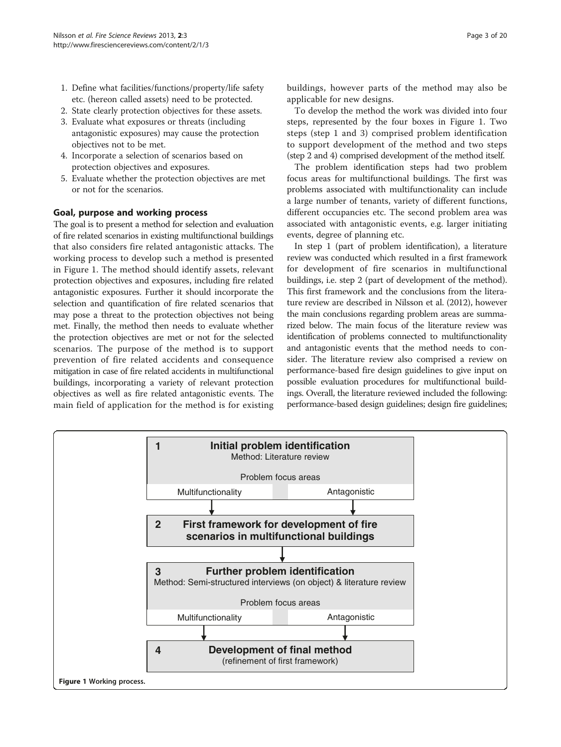- 1. Define what facilities/functions/property/life safety etc. (hereon called assets) need to be protected.
- 2. State clearly protection objectives for these assets.
- 3. Evaluate what exposures or threats (including antagonistic exposures) may cause the protection objectives not to be met.
- 4. Incorporate a selection of scenarios based on protection objectives and exposures.
- 5. Evaluate whether the protection objectives are met or not for the scenarios.

# Goal, purpose and working process

The goal is to present a method for selection and evaluation of fire related scenarios in existing multifunctional buildings that also considers fire related antagonistic attacks. The working process to develop such a method is presented in Figure 1. The method should identify assets, relevant protection objectives and exposures, including fire related antagonistic exposures. Further it should incorporate the selection and quantification of fire related scenarios that may pose a threat to the protection objectives not being met. Finally, the method then needs to evaluate whether the protection objectives are met or not for the selected scenarios. The purpose of the method is to support prevention of fire related accidents and consequence mitigation in case of fire related accidents in multifunctional buildings, incorporating a variety of relevant protection objectives as well as fire related antagonistic events. The main field of application for the method is for existing

buildings, however parts of the method may also be applicable for new designs.

To develop the method the work was divided into four steps, represented by the four boxes in Figure 1. Two steps (step 1 and 3) comprised problem identification to support development of the method and two steps (step 2 and 4) comprised development of the method itself.

The problem identification steps had two problem focus areas for multifunctional buildings. The first was problems associated with multifunctionality can include a large number of tenants, variety of different functions, different occupancies etc. The second problem area was associated with antagonistic events, e.g. larger initiating events, degree of planning etc.

In step 1 (part of problem identification), a literature review was conducted which resulted in a first framework for development of fire scenarios in multifunctional buildings, i.e. step 2 (part of development of the method). This first framework and the conclusions from the literature review are described in Nilsson et al. [\(2012\)](#page-18-0), however the main conclusions regarding problem areas are summarized below. The main focus of the literature review was identification of problems connected to multifunctionality and antagonistic events that the method needs to consider. The literature review also comprised a review on performance-based fire design guidelines to give input on possible evaluation procedures for multifunctional buildings. Overall, the literature reviewed included the following: performance-based design guidelines; design fire guidelines;

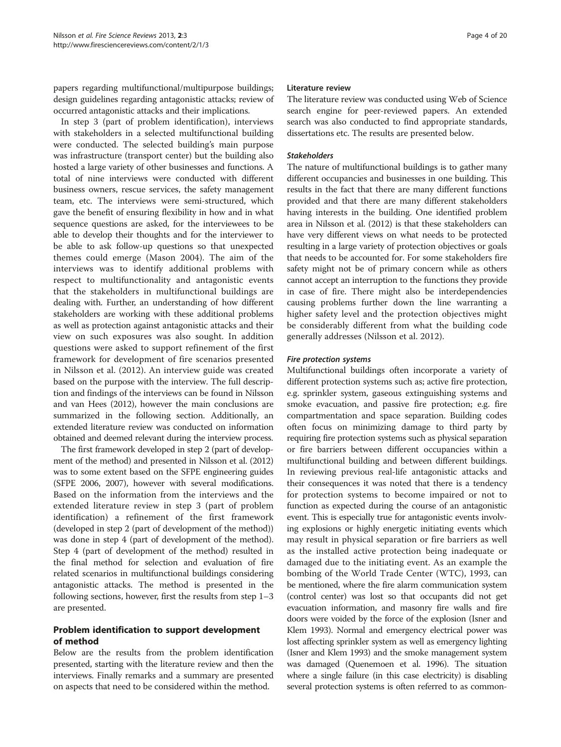<span id="page-3-0"></span>papers regarding multifunctional/multipurpose buildings; design guidelines regarding antagonistic attacks; review of occurred antagonistic attacks and their implications.

In step 3 (part of problem identification), interviews with stakeholders in a selected multifunctional building were conducted. The selected building's main purpose was infrastructure (transport center) but the building also hosted a large variety of other businesses and functions. A total of nine interviews were conducted with different business owners, rescue services, the safety management team, etc. The interviews were semi-structured, which gave the benefit of ensuring flexibility in how and in what sequence questions are asked, for the interviewees to be able to develop their thoughts and for the interviewer to be able to ask follow-up questions so that unexpected themes could emerge (Mason [2004\)](#page-18-0). The aim of the interviews was to identify additional problems with respect to multifunctionality and antagonistic events that the stakeholders in multifunctional buildings are dealing with. Further, an understanding of how different stakeholders are working with these additional problems as well as protection against antagonistic attacks and their view on such exposures was also sought. In addition questions were asked to support refinement of the first framework for development of fire scenarios presented in Nilsson et al. [\(2012](#page-18-0)). An interview guide was created based on the purpose with the interview. The full description and findings of the interviews can be found in Nilsson and van Hees [\(2012\)](#page-18-0), however the main conclusions are summarized in the following section. Additionally, an extended literature review was conducted on information obtained and deemed relevant during the interview process.

The first framework developed in step 2 (part of development of the method) and presented in Nilsson et al. [\(2012](#page-18-0)) was to some extent based on the SFPE engineering guides (SFPE [2006, 2007](#page-19-0)), however with several modifications. Based on the information from the interviews and the extended literature review in step 3 (part of problem identification) a refinement of the first framework (developed in step 2 (part of development of the method)) was done in step 4 (part of development of the method). Step 4 (part of development of the method) resulted in the final method for selection and evaluation of fire related scenarios in multifunctional buildings considering antagonistic attacks. The method is presented in the following sections, however, first the results from step 1–3 are presented.

# Problem identification to support development of method

Below are the results from the problem identification presented, starting with the literature review and then the interviews. Finally remarks and a summary are presented on aspects that need to be considered within the method.

# Literature review

The literature review was conducted using Web of Science search engine for peer-reviewed papers. An extended search was also conducted to find appropriate standards, dissertations etc. The results are presented below.

# **Stakeholders**

The nature of multifunctional buildings is to gather many different occupancies and businesses in one building. This results in the fact that there are many different functions provided and that there are many different stakeholders having interests in the building. One identified problem area in Nilsson et al. [\(2012\)](#page-18-0) is that these stakeholders can have very different views on what needs to be protected resulting in a large variety of protection objectives or goals that needs to be accounted for. For some stakeholders fire safety might not be of primary concern while as others cannot accept an interruption to the functions they provide in case of fire. There might also be interdependencies causing problems further down the line warranting a higher safety level and the protection objectives might be considerably different from what the building code generally addresses (Nilsson et al. [2012](#page-18-0)).

# Fire protection systems

Multifunctional buildings often incorporate a variety of different protection systems such as; active fire protection, e.g. sprinkler system, gaseous extinguishing systems and smoke evacuation, and passive fire protection; e.g. fire compartmentation and space separation. Building codes often focus on minimizing damage to third party by requiring fire protection systems such as physical separation or fire barriers between different occupancies within a multifunctional building and between different buildings. In reviewing previous real-life antagonistic attacks and their consequences it was noted that there is a tendency for protection systems to become impaired or not to function as expected during the course of an antagonistic event. This is especially true for antagonistic events involving explosions or highly energetic initiating events which may result in physical separation or fire barriers as well as the installed active protection being inadequate or damaged due to the initiating event. As an example the bombing of the World Trade Center (WTC), 1993, can be mentioned, where the fire alarm communication system (control center) was lost so that occupants did not get evacuation information, and masonry fire walls and fire doors were voided by the force of the explosion (Isner and Klem [1993\)](#page-18-0). Normal and emergency electrical power was lost affecting sprinkler system as well as emergency lighting (Isner and Klem [1993\)](#page-18-0) and the smoke management system was damaged (Quenemoen et al. [1996\)](#page-18-0). The situation where a single failure (in this case electricity) is disabling several protection systems is often referred to as common-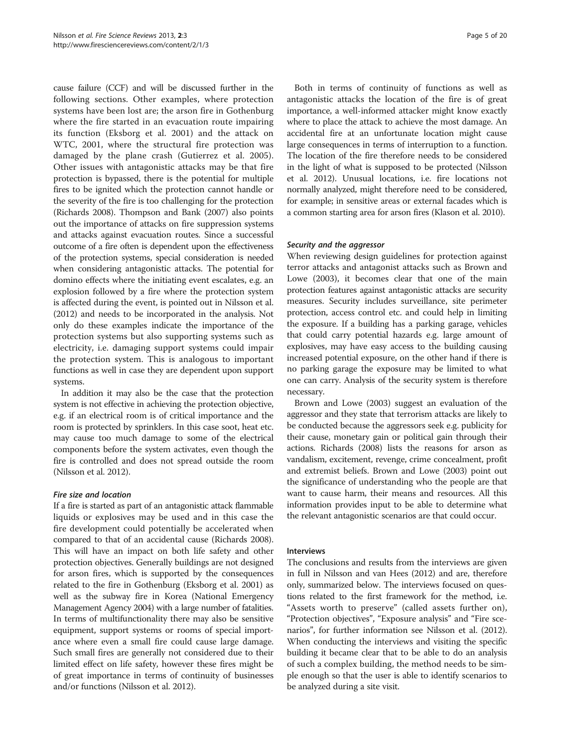cause failure (CCF) and will be discussed further in the following sections. Other examples, where protection systems have been lost are; the arson fire in Gothenburg where the fire started in an evacuation route impairing its function (Eksborg et al. [2001](#page-18-0)) and the attack on WTC, 2001, where the structural fire protection was damaged by the plane crash (Gutierrez et al. [2005](#page-18-0)). Other issues with antagonistic attacks may be that fire protection is bypassed, there is the potential for multiple fires to be ignited which the protection cannot handle or the severity of the fire is too challenging for the protection (Richards [2008\)](#page-19-0). Thompson and Bank [\(2007](#page-19-0)) also points out the importance of attacks on fire suppression systems and attacks against evacuation routes. Since a successful outcome of a fire often is dependent upon the effectiveness of the protection systems, special consideration is needed when considering antagonistic attacks. The potential for domino effects where the initiating event escalates, e.g. an explosion followed by a fire where the protection system is affected during the event, is pointed out in Nilsson et al. ([2012](#page-18-0)) and needs to be incorporated in the analysis. Not only do these examples indicate the importance of the protection systems but also supporting systems such as electricity, i.e. damaging support systems could impair the protection system. This is analogous to important functions as well in case they are dependent upon support systems.

In addition it may also be the case that the protection system is not effective in achieving the protection objective, e.g. if an electrical room is of critical importance and the room is protected by sprinklers. In this case soot, heat etc. may cause too much damage to some of the electrical components before the system activates, even though the fire is controlled and does not spread outside the room (Nilsson et al. [2012](#page-18-0)).

# Fire size and location

If a fire is started as part of an antagonistic attack flammable liquids or explosives may be used and in this case the fire development could potentially be accelerated when compared to that of an accidental cause (Richards [2008](#page-19-0)). This will have an impact on both life safety and other protection objectives. Generally buildings are not designed for arson fires, which is supported by the consequences related to the fire in Gothenburg (Eksborg et al. [2001\)](#page-18-0) as well as the subway fire in Korea (National Emergency Management Agency [2004\)](#page-18-0) with a large number of fatalities. In terms of multifunctionality there may also be sensitive equipment, support systems or rooms of special importance where even a small fire could cause large damage. Such small fires are generally not considered due to their limited effect on life safety, however these fires might be of great importance in terms of continuity of businesses and/or functions (Nilsson et al. [2012\)](#page-18-0).

Both in terms of continuity of functions as well as antagonistic attacks the location of the fire is of great importance, a well-informed attacker might know exactly where to place the attack to achieve the most damage. An accidental fire at an unfortunate location might cause large consequences in terms of interruption to a function. The location of the fire therefore needs to be considered in the light of what is supposed to be protected (Nilsson et al. [2012](#page-18-0)). Unusual locations, i.e. fire locations not normally analyzed, might therefore need to be considered, for example; in sensitive areas or external facades which is a common starting area for arson fires (Klason et al. [2010](#page-18-0)).

# Security and the aggressor

When reviewing design guidelines for protection against terror attacks and antagonist attacks such as Brown and Lowe [\(2003](#page-18-0)), it becomes clear that one of the main protection features against antagonistic attacks are security measures. Security includes surveillance, site perimeter protection, access control etc. and could help in limiting the exposure. If a building has a parking garage, vehicles that could carry potential hazards e.g. large amount of explosives, may have easy access to the building causing increased potential exposure, on the other hand if there is no parking garage the exposure may be limited to what one can carry. Analysis of the security system is therefore necessary.

Brown and Lowe [\(2003\)](#page-18-0) suggest an evaluation of the aggressor and they state that terrorism attacks are likely to be conducted because the aggressors seek e.g. publicity for their cause, monetary gain or political gain through their actions. Richards ([2008\)](#page-19-0) lists the reasons for arson as vandalism, excitement, revenge, crime concealment, profit and extremist beliefs. Brown and Lowe ([2003](#page-18-0)) point out the significance of understanding who the people are that want to cause harm, their means and resources. All this information provides input to be able to determine what the relevant antagonistic scenarios are that could occur.

# Interviews

The conclusions and results from the interviews are given in full in Nilsson and van Hees [\(2012](#page-18-0)) and are, therefore only, summarized below. The interviews focused on questions related to the first framework for the method, i.e. "Assets worth to preserve" (called assets further on), "Protection objectives", "Exposure analysis" and "Fire scenarios", for further information see Nilsson et al. [\(2012](#page-18-0)). When conducting the interviews and visiting the specific building it became clear that to be able to do an analysis of such a complex building, the method needs to be simple enough so that the user is able to identify scenarios to be analyzed during a site visit.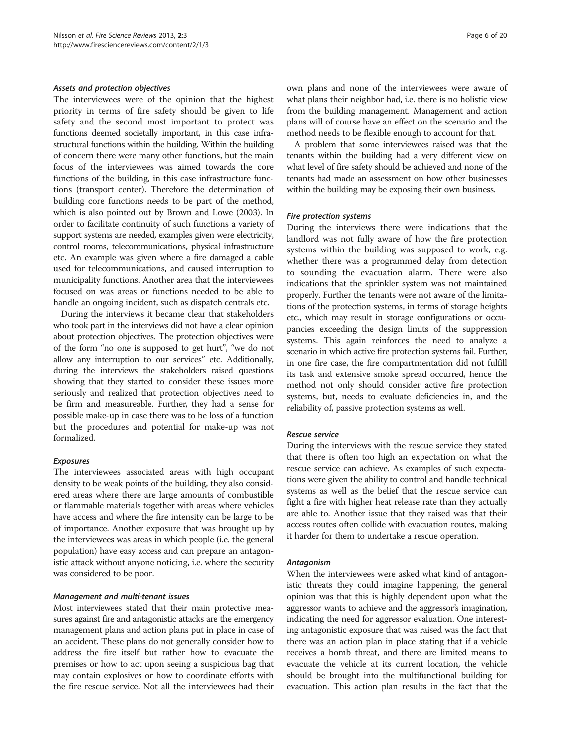# Assets and protection objectives

The interviewees were of the opinion that the highest priority in terms of fire safety should be given to life safety and the second most important to protect was functions deemed societally important, in this case infrastructural functions within the building. Within the building of concern there were many other functions, but the main focus of the interviewees was aimed towards the core functions of the building, in this case infrastructure functions (transport center). Therefore the determination of building core functions needs to be part of the method, which is also pointed out by Brown and Lowe ([2003](#page-18-0)). In order to facilitate continuity of such functions a variety of support systems are needed, examples given were electricity, control rooms, telecommunications, physical infrastructure etc. An example was given where a fire damaged a cable used for telecommunications, and caused interruption to municipality functions. Another area that the interviewees focused on was areas or functions needed to be able to handle an ongoing incident, such as dispatch centrals etc.

During the interviews it became clear that stakeholders who took part in the interviews did not have a clear opinion about protection objectives. The protection objectives were of the form "no one is supposed to get hurt", "we do not allow any interruption to our services" etc. Additionally, during the interviews the stakeholders raised questions showing that they started to consider these issues more seriously and realized that protection objectives need to be firm and measureable. Further, they had a sense for possible make-up in case there was to be loss of a function but the procedures and potential for make-up was not formalized.

# Exposures

The interviewees associated areas with high occupant density to be weak points of the building, they also considered areas where there are large amounts of combustible or flammable materials together with areas where vehicles have access and where the fire intensity can be large to be of importance. Another exposure that was brought up by the interviewees was areas in which people (i.e. the general population) have easy access and can prepare an antagonistic attack without anyone noticing, i.e. where the security was considered to be poor.

### Management and multi-tenant issues

Most interviewees stated that their main protective measures against fire and antagonistic attacks are the emergency management plans and action plans put in place in case of an accident. These plans do not generally consider how to address the fire itself but rather how to evacuate the premises or how to act upon seeing a suspicious bag that may contain explosives or how to coordinate efforts with the fire rescue service. Not all the interviewees had their

own plans and none of the interviewees were aware of what plans their neighbor had, i.e. there is no holistic view from the building management. Management and action plans will of course have an effect on the scenario and the method needs to be flexible enough to account for that.

A problem that some interviewees raised was that the tenants within the building had a very different view on what level of fire safety should be achieved and none of the tenants had made an assessment on how other businesses within the building may be exposing their own business.

#### Fire protection systems

During the interviews there were indications that the landlord was not fully aware of how the fire protection systems within the building was supposed to work, e.g. whether there was a programmed delay from detection to sounding the evacuation alarm. There were also indications that the sprinkler system was not maintained properly. Further the tenants were not aware of the limitations of the protection systems, in terms of storage heights etc., which may result in storage configurations or occupancies exceeding the design limits of the suppression systems. This again reinforces the need to analyze a scenario in which active fire protection systems fail. Further, in one fire case, the fire compartmentation did not fulfill its task and extensive smoke spread occurred, hence the method not only should consider active fire protection systems, but, needs to evaluate deficiencies in, and the reliability of, passive protection systems as well.

### Rescue service

During the interviews with the rescue service they stated that there is often too high an expectation on what the rescue service can achieve. As examples of such expectations were given the ability to control and handle technical systems as well as the belief that the rescue service can fight a fire with higher heat release rate than they actually are able to. Another issue that they raised was that their access routes often collide with evacuation routes, making it harder for them to undertake a rescue operation.

### Antagonism

When the interviewees were asked what kind of antagonistic threats they could imagine happening, the general opinion was that this is highly dependent upon what the aggressor wants to achieve and the aggressor's imagination, indicating the need for aggressor evaluation. One interesting antagonistic exposure that was raised was the fact that there was an action plan in place stating that if a vehicle receives a bomb threat, and there are limited means to evacuate the vehicle at its current location, the vehicle should be brought into the multifunctional building for evacuation. This action plan results in the fact that the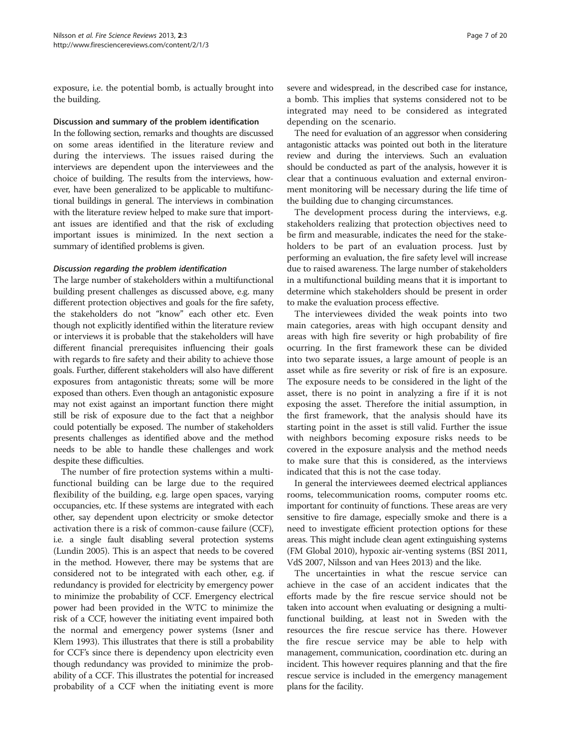exposure, i.e. the potential bomb, is actually brought into the building.

# Discussion and summary of the problem identification

In the following section, remarks and thoughts are discussed on some areas identified in the literature review and during the interviews. The issues raised during the interviews are dependent upon the interviewees and the choice of building. The results from the interviews, however, have been generalized to be applicable to multifunctional buildings in general. The interviews in combination with the literature review helped to make sure that important issues are identified and that the risk of excluding important issues is minimized. In the next section a summary of identified problems is given.

# Discussion regarding the problem identification

The large number of stakeholders within a multifunctional building present challenges as discussed above, e.g. many different protection objectives and goals for the fire safety, the stakeholders do not "know" each other etc. Even though not explicitly identified within the literature review or interviews it is probable that the stakeholders will have different financial prerequisites influencing their goals with regards to fire safety and their ability to achieve those goals. Further, different stakeholders will also have different exposures from antagonistic threats; some will be more exposed than others. Even though an antagonistic exposure may not exist against an important function there might still be risk of exposure due to the fact that a neighbor could potentially be exposed. The number of stakeholders presents challenges as identified above and the method needs to be able to handle these challenges and work despite these difficulties.

The number of fire protection systems within a multifunctional building can be large due to the required flexibility of the building, e.g. large open spaces, varying occupancies, etc. If these systems are integrated with each other, say dependent upon electricity or smoke detector activation there is a risk of common-cause failure (CCF), i.e. a single fault disabling several protection systems (Lundin [2005](#page-18-0)). This is an aspect that needs to be covered in the method. However, there may be systems that are considered not to be integrated with each other, e.g. if redundancy is provided for electricity by emergency power to minimize the probability of CCF. Emergency electrical power had been provided in the WTC to minimize the risk of a CCF, however the initiating event impaired both the normal and emergency power systems (Isner and Klem [1993](#page-18-0)). This illustrates that there is still a probability for CCF's since there is dependency upon electricity even though redundancy was provided to minimize the probability of a CCF. This illustrates the potential for increased probability of a CCF when the initiating event is more

severe and widespread, in the described case for instance, a bomb. This implies that systems considered not to be integrated may need to be considered as integrated depending on the scenario.

The need for evaluation of an aggressor when considering antagonistic attacks was pointed out both in the literature review and during the interviews. Such an evaluation should be conducted as part of the analysis, however it is clear that a continuous evaluation and external environment monitoring will be necessary during the life time of the building due to changing circumstances.

The development process during the interviews, e.g. stakeholders realizing that protection objectives need to be firm and measurable, indicates the need for the stakeholders to be part of an evaluation process. Just by performing an evaluation, the fire safety level will increase due to raised awareness. The large number of stakeholders in a multifunctional building means that it is important to determine which stakeholders should be present in order to make the evaluation process effective.

The interviewees divided the weak points into two main categories, areas with high occupant density and areas with high fire severity or high probability of fire ocurring. In the first framework these can be divided into two separate issues, a large amount of people is an asset while as fire severity or risk of fire is an exposure. The exposure needs to be considered in the light of the asset, there is no point in analyzing a fire if it is not exposing the asset. Therefore the initial assumption, in the first framework, that the analysis should have its starting point in the asset is still valid. Further the issue with neighbors becoming exposure risks needs to be covered in the exposure analysis and the method needs to make sure that this is considered, as the interviews indicated that this is not the case today.

In general the interviewees deemed electrical appliances rooms, telecommunication rooms, computer rooms etc. important for continuity of functions. These areas are very sensitive to fire damage, especially smoke and there is a need to investigate efficient protection options for these areas. This might include clean agent extinguishing systems (FM Global [2010\)](#page-18-0), hypoxic air-venting systems (BSI [2011](#page-18-0), VdS [2007](#page-19-0), Nilsson and van Hees [2013\)](#page-18-0) and the like.

The uncertainties in what the rescue service can achieve in the case of an accident indicates that the efforts made by the fire rescue service should not be taken into account when evaluating or designing a multifunctional building, at least not in Sweden with the resources the fire rescue service has there. However the fire rescue service may be able to help with management, communication, coordination etc. during an incident. This however requires planning and that the fire rescue service is included in the emergency management plans for the facility.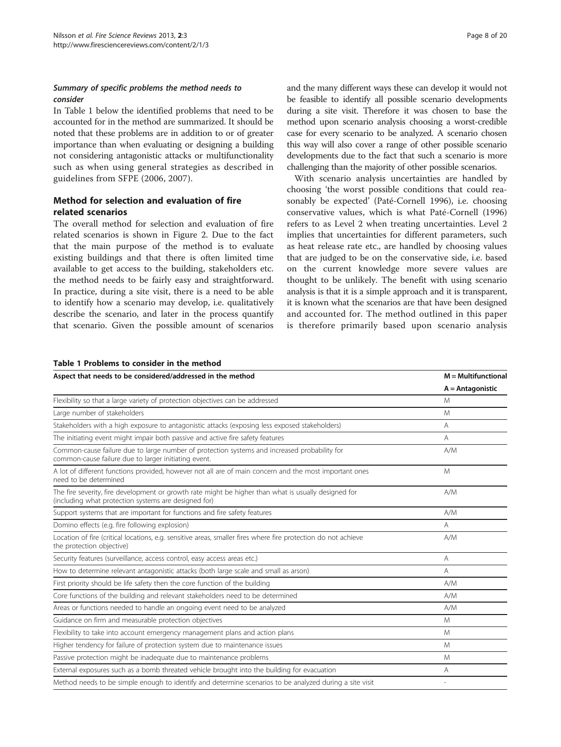# <span id="page-7-0"></span>Summary of specific problems the method needs to consider

In Table 1 below the identified problems that need to be accounted for in the method are summarized. It should be noted that these problems are in addition to or of greater importance than when evaluating or designing a building not considering antagonistic attacks or multifunctionality such as when using general strategies as described in guidelines from SFPE [\(2006, 2007](#page-19-0)).

# Method for selection and evaluation of fire related scenarios

The overall method for selection and evaluation of fire related scenarios is shown in Figure [2.](#page-8-0) Due to the fact that the main purpose of the method is to evaluate existing buildings and that there is often limited time available to get access to the building, stakeholders etc. the method needs to be fairly easy and straightforward. In practice, during a site visit, there is a need to be able to identify how a scenario may develop, i.e. qualitatively describe the scenario, and later in the process quantify that scenario. Given the possible amount of scenarios

and the many different ways these can develop it would not be feasible to identify all possible scenario developments during a site visit. Therefore it was chosen to base the method upon scenario analysis choosing a worst-credible case for every scenario to be analyzed. A scenario chosen this way will also cover a range of other possible scenario developments due to the fact that such a scenario is more challenging than the majority of other possible scenarios.

With scenario analysis uncertainties are handled by choosing 'the worst possible conditions that could reasonably be expected' (Paté-Cornell [1996](#page-18-0)), i.e. choosing conservative values, which is what Paté-Cornell ([1996](#page-18-0)) refers to as Level 2 when treating uncertainties. Level 2 implies that uncertainties for different parameters, such as heat release rate etc., are handled by choosing values that are judged to be on the conservative side, i.e. based on the current knowledge more severe values are thought to be unlikely. The benefit with using scenario analysis is that it is a simple approach and it is transparent, it is known what the scenarios are that have been designed and accounted for. The method outlined in this paper is therefore primarily based upon scenario analysis

# Table 1 Problems to consider in the method

| Aspect that needs to be considered/addressed in the method                                                                                                   | $M = Multifunctional$ |
|--------------------------------------------------------------------------------------------------------------------------------------------------------------|-----------------------|
|                                                                                                                                                              | $A = Antagonistic$    |
| Flexibility so that a large variety of protection objectives can be addressed                                                                                | M                     |
| Large number of stakeholders                                                                                                                                 | M                     |
| Stakeholders with a high exposure to antagonistic attacks (exposing less exposed stakeholders)                                                               | Α                     |
| The initiating event might impair both passive and active fire safety features                                                                               | A                     |
| Common-cause failure due to large number of protection systems and increased probability for<br>common-cause failure due to larger initiating event.         | A/M                   |
| A lot of different functions provided, however not all are of main concern and the most important ones<br>need to be determined                              | M                     |
| The fire severity, fire development or growth rate might be higher than what is usually designed for<br>(including what protection systems are designed for) | A/M                   |
| Support systems that are important for functions and fire safety features                                                                                    | A/M                   |
| Domino effects (e.g. fire following explosion)                                                                                                               | A                     |
| Location of fire (critical locations, e.g. sensitive areas, smaller fires where fire protection do not achieve<br>the protection objective)                  | A/M                   |
| Security features (surveillance, access control, easy access areas etc.)                                                                                     | A                     |
| How to determine relevant antagonistic attacks (both large scale and small as arson)                                                                         | A                     |
| First priority should be life safety then the core function of the building                                                                                  | A/M                   |
| Core functions of the building and relevant stakeholders need to be determined                                                                               | A/M                   |
| Areas or functions needed to handle an ongoing event need to be analyzed                                                                                     | A/M                   |
| Guidance on firm and measurable protection objectives                                                                                                        | M                     |
| Flexibility to take into account emergency management plans and action plans                                                                                 | M                     |
| Higher tendency for failure of protection system due to maintenance issues                                                                                   | M                     |
| Passive protection might be inadequate due to maintenance problems                                                                                           | M                     |
| External exposures such as a bomb threated vehicle brought into the building for evacuation                                                                  | Α                     |
| Method needs to be simple enough to identify and determine scenarios to be analyzed during a site visit                                                      |                       |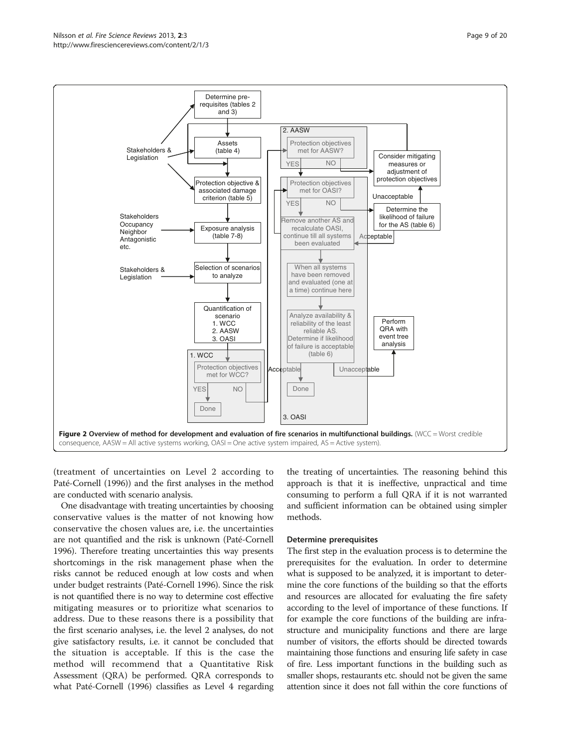<span id="page-8-0"></span>

(treatment of uncertainties on Level 2 according to Paté-Cornell ([1996\)](#page-18-0)) and the first analyses in the method are conducted with scenario analysis.

One disadvantage with treating uncertainties by choosing conservative values is the matter of not knowing how conservative the chosen values are, i.e. the uncertainties are not quantified and the risk is unknown (Paté-Cornell [1996\)](#page-18-0). Therefore treating uncertainties this way presents shortcomings in the risk management phase when the risks cannot be reduced enough at low costs and when under budget restraints (Paté-Cornell [1996\)](#page-18-0). Since the risk is not quantified there is no way to determine cost effective mitigating measures or to prioritize what scenarios to address. Due to these reasons there is a possibility that the first scenario analyses, i.e. the level 2 analyses, do not give satisfactory results, i.e. it cannot be concluded that the situation is acceptable. If this is the case the method will recommend that a Quantitative Risk Assessment (QRA) be performed. QRA corresponds to what Paté-Cornell ([1996](#page-18-0)) classifies as Level 4 regarding

the treating of uncertainties. The reasoning behind this approach is that it is ineffective, unpractical and time consuming to perform a full QRA if it is not warranted and sufficient information can be obtained using simpler methods.

# Determine prerequisites

The first step in the evaluation process is to determine the prerequisites for the evaluation. In order to determine what is supposed to be analyzed, it is important to determine the core functions of the building so that the efforts and resources are allocated for evaluating the fire safety according to the level of importance of these functions. If for example the core functions of the building are infrastructure and municipality functions and there are large number of visitors, the efforts should be directed towards maintaining those functions and ensuring life safety in case of fire. Less important functions in the building such as smaller shops, restaurants etc. should not be given the same attention since it does not fall within the core functions of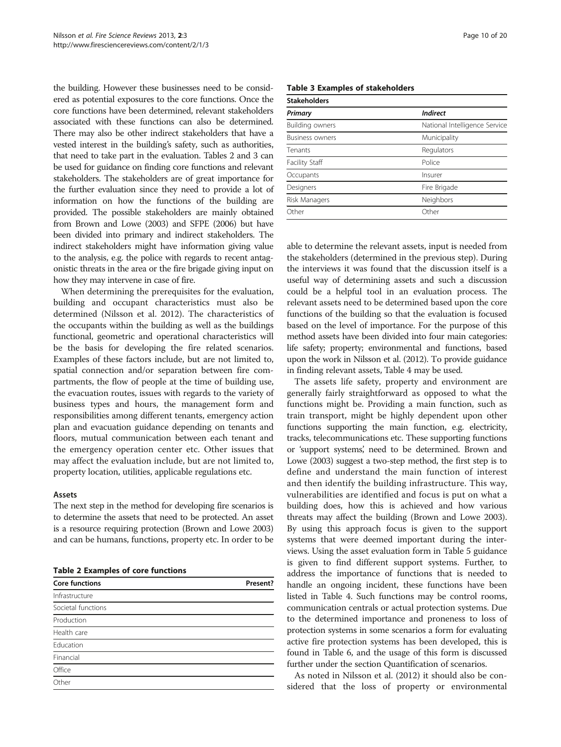the building. However these businesses need to be considered as potential exposures to the core functions. Once the core functions have been determined, relevant stakeholders associated with these functions can also be determined. There may also be other indirect stakeholders that have a vested interest in the building's safety, such as authorities, that need to take part in the evaluation. Tables 2 and 3 can be used for guidance on finding core functions and relevant stakeholders. The stakeholders are of great importance for the further evaluation since they need to provide a lot of information on how the functions of the building are provided. The possible stakeholders are mainly obtained from Brown and Lowe [\(2003\)](#page-18-0) and SFPE [\(2006](#page-19-0)) but have been divided into primary and indirect stakeholders. The indirect stakeholders might have information giving value to the analysis, e.g. the police with regards to recent antagonistic threats in the area or the fire brigade giving input on how they may intervene in case of fire.

When determining the prerequisites for the evaluation, building and occupant characteristics must also be determined (Nilsson et al. [2012](#page-18-0)). The characteristics of the occupants within the building as well as the buildings functional, geometric and operational characteristics will be the basis for developing the fire related scenarios. Examples of these factors include, but are not limited to, spatial connection and/or separation between fire compartments, the flow of people at the time of building use, the evacuation routes, issues with regards to the variety of business types and hours, the management form and responsibilities among different tenants, emergency action plan and evacuation guidance depending on tenants and floors, mutual communication between each tenant and the emergency operation center etc. Other issues that may affect the evaluation include, but are not limited to, property location, utilities, applicable regulations etc.

# Assets

The next step in the method for developing fire scenarios is to determine the assets that need to be protected. An asset is a resource requiring protection (Brown and Lowe [2003](#page-18-0)) and can be humans, functions, property etc. In order to be

| <b>Core functions</b> | Present? |
|-----------------------|----------|
| Infrastructure        |          |
| Societal functions    |          |
| Production            |          |
| Health care           |          |
| Education             |          |
| Financial             |          |
| Office                |          |
| Other                 |          |

|  |  | <b>Table 3 Examples of stakeholders</b> |
|--|--|-----------------------------------------|
|--|--|-----------------------------------------|

| stakenoiders           |                               |
|------------------------|-------------------------------|
| Primary                | <b>Indirect</b>               |
| Building owners        | National Intelligence Service |
| <b>Business owners</b> | Municipality                  |
| Tenants                | Regulators                    |
| Facility Staff         | Police                        |
| Occupants              | Insurer                       |
| Designers              | Fire Brigade                  |
| Risk Managers          | Neighbors                     |
| Other                  | Other                         |
|                        |                               |

able to determine the relevant assets, input is needed from the stakeholders (determined in the previous step). During the interviews it was found that the discussion itself is a useful way of determining assets and such a discussion could be a helpful tool in an evaluation process. The relevant assets need to be determined based upon the core functions of the building so that the evaluation is focused based on the level of importance. For the purpose of this method assets have been divided into four main categories: life safety; property; environmental and functions, based upon the work in Nilsson et al. [\(2012](#page-18-0)). To provide guidance in finding relevant assets, Table [4](#page-10-0) may be used.

The assets life safety, property and environment are generally fairly straightforward as opposed to what the functions might be. Providing a main function, such as train transport, might be highly dependent upon other functions supporting the main function, e.g. electricity, tracks, telecommunications etc. These supporting functions or 'support systems, need to be determined. Brown and ' Lowe [\(2003\)](#page-18-0) suggest a two-step method, the first step is to define and understand the main function of interest and then identify the building infrastructure. This way, vulnerabilities are identified and focus is put on what a building does, how this is achieved and how various threats may affect the building (Brown and Lowe [2003](#page-18-0)). By using this approach focus is given to the support systems that were deemed important during the interviews. Using the asset evaluation form in Table [5](#page-11-0) guidance is given to find different support systems. Further, to address the importance of functions that is needed to handle an ongoing incident, these functions have been listed in Table [4](#page-10-0). Such functions may be control rooms, communication centrals or actual protection systems. Due to the determined importance and proneness to loss of protection systems in some scenarios a form for evaluating active fire protection systems has been developed, this is found in Table [6](#page-11-0), and the usage of this form is discussed further under the section [Quantification of scenarios](#page-14-0).

As noted in Nilsson et al. ([2012](#page-18-0)) it should also be considered that the loss of property or environmental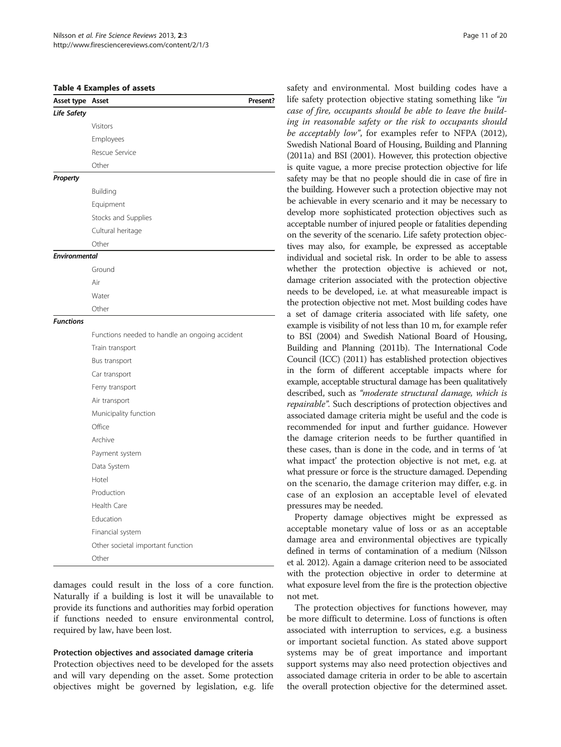#### <span id="page-10-0"></span>Table 4 Examples of assets

| Asset type           | Asset                                          | Present? |
|----------------------|------------------------------------------------|----------|
| <b>Life Safety</b>   |                                                |          |
|                      | Visitors                                       |          |
|                      | Employees                                      |          |
|                      | Rescue Service                                 |          |
|                      | Other                                          |          |
| <b>Property</b>      |                                                |          |
|                      | Building                                       |          |
|                      | Equipment                                      |          |
|                      | Stocks and Supplies                            |          |
|                      | Cultural heritage                              |          |
|                      | Other                                          |          |
| <b>Environmental</b> |                                                |          |
|                      | Ground                                         |          |
|                      | Air                                            |          |
|                      | Water                                          |          |
|                      | Other                                          |          |
| <b>Functions</b>     |                                                |          |
|                      | Functions needed to handle an ongoing accident |          |
|                      | Train transport                                |          |
|                      | Bus transport                                  |          |
|                      | Car transport                                  |          |
|                      | Ferry transport                                |          |
|                      | Air transport                                  |          |
|                      | Municipality function                          |          |
|                      | Office                                         |          |
|                      | Archive                                        |          |
|                      | Payment system                                 |          |
|                      | Data System                                    |          |
|                      | Hotel                                          |          |
|                      | Production                                     |          |
|                      | Health Care                                    |          |
|                      | Education                                      |          |
|                      | Financial system                               |          |
|                      | Other societal important function              |          |
|                      | Other                                          |          |

damages could result in the loss of a core function. Naturally if a building is lost it will be unavailable to provide its functions and authorities may forbid operation if functions needed to ensure environmental control, required by law, have been lost.

## Protection objectives and associated damage criteria

Protection objectives need to be developed for the assets and will vary depending on the asset. Some protection objectives might be governed by legislation, e.g. life safety and environmental. Most building codes have a life safety protection objective stating something like "in case of fire, occupants should be able to leave the building in reasonable safety or the risk to occupants should be acceptably low", for examples refer to NFPA ([2012](#page-18-0)), Swedish National Board of Housing, Building and Planning ([2011a](#page-19-0)) and BSI ([2001\)](#page-18-0). However, this protection objective is quite vague, a more precise protection objective for life safety may be that no people should die in case of fire in the building. However such a protection objective may not be achievable in every scenario and it may be necessary to develop more sophisticated protection objectives such as acceptable number of injured people or fatalities depending on the severity of the scenario. Life safety protection objectives may also, for example, be expressed as acceptable individual and societal risk. In order to be able to assess whether the protection objective is achieved or not, damage criterion associated with the protection objective needs to be developed, i.e. at what measureable impact is the protection objective not met. Most building codes have a set of damage criteria associated with life safety, one example is visibility of not less than 10 m, for example refer to BSI [\(2004](#page-18-0)) and Swedish National Board of Housing, Building and Planning [\(2011b\)](#page-19-0). The International Code Council (ICC) ([2011\)](#page-18-0) has established protection objectives in the form of different acceptable impacts where for example, acceptable structural damage has been qualitatively described, such as "moderate structural damage, which is repairable". Such descriptions of protection objectives and associated damage criteria might be useful and the code is recommended for input and further guidance. However the damage criterion needs to be further quantified in these cases, than is done in the code, and in terms of 'at what impact' the protection objective is not met, e.g. at what pressure or force is the structure damaged. Depending on the scenario, the damage criterion may differ, e.g. in case of an explosion an acceptable level of elevated pressures may be needed.

Property damage objectives might be expressed as acceptable monetary value of loss or as an acceptable damage area and environmental objectives are typically defined in terms of contamination of a medium (Nilsson et al. [2012\)](#page-18-0). Again a damage criterion need to be associated with the protection objective in order to determine at what exposure level from the fire is the protection objective not met.

The protection objectives for functions however, may be more difficult to determine. Loss of functions is often associated with interruption to services, e.g. a business or important societal function. As stated above support systems may be of great importance and important support systems may also need protection objectives and associated damage criteria in order to be able to ascertain the overall protection objective for the determined asset.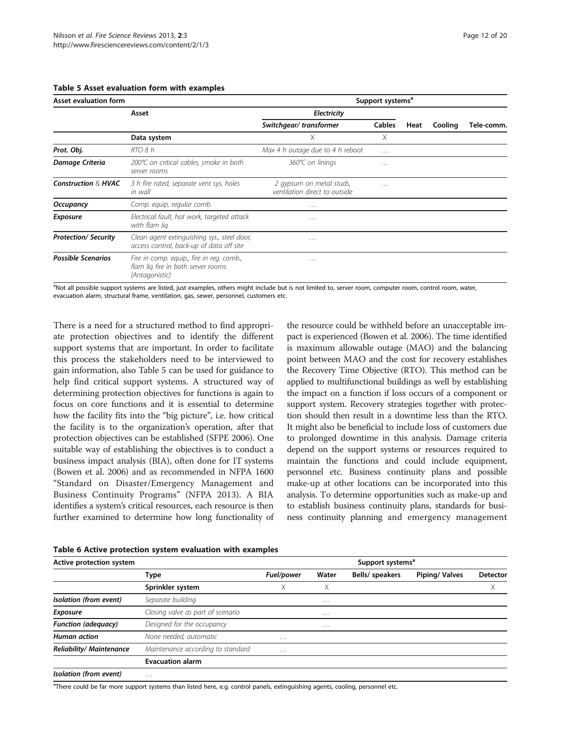| Asset evaluation form          |                                                                                                   | Support systems <sup>a</sup>                              |               |      |         |            |
|--------------------------------|---------------------------------------------------------------------------------------------------|-----------------------------------------------------------|---------------|------|---------|------------|
|                                | Asset                                                                                             | Electricity                                               |               |      |         |            |
|                                |                                                                                                   | Switchgear/transformer                                    | <b>Cables</b> | Heat | Cooling | Tele-comm. |
|                                | Data system                                                                                       | Χ                                                         | Χ             |      |         |            |
| Prot. Obj.                     | RTO 8 h                                                                                           | Max 4 h outage due to 4 h reboot                          | $\cdots$      |      |         |            |
| Damage Criteria                | 200°C on critical cables, smoke in both<br>server rooms                                           | 360°C on linings                                          | $\cdots$      |      |         |            |
| <b>Construction &amp; HVAC</b> | 3 h fire rated, separate vent sys, holes<br>in wall                                               | 2 gypsum on metal studs,<br>ventilation direct to outside | $\cdots$      |      |         |            |
| Occupancy                      | Comp. equip, regular comb.                                                                        | $\cdots$                                                  |               |      |         |            |
| <b>Exposure</b>                | Electrical fault, hot work, targeted attack<br>with flam lig                                      | $\cdots$                                                  |               |      |         |            |
| <b>Protection/ Security</b>    | Clean agent extinguishing sys., steel door,<br>access control, back-up of data off site           | $\cdots$                                                  |               |      |         |            |
| <b>Possible Scenarios</b>      | Fire in comp. equip., fire in req. comb.,<br>flam lig fire in both server rooms<br>(Antagonistic) | $\cdots$                                                  |               |      |         |            |

# <span id="page-11-0"></span>Table 5 Asset evaluation form with examples

<sup>a</sup>Not all possible support systems are listed, just examples, others might include but is not limited to, server room, computer room, control room, water, evacuation alarm, structural frame, ventilation, gas, sewer, personnel, customers etc.

There is a need for a structured method to find appropriate protection objectives and to identify the different support systems that are important. In order to facilitate this process the stakeholders need to be interviewed to gain information, also Table 5 can be used for guidance to help find critical support systems. A structured way of determining protection objectives for functions is again to focus on core functions and it is essential to determine how the facility fits into the "big picture", i.e. how critical the facility is to the organization's operation, after that protection objectives can be established (SFPE [2006](#page-19-0)). One suitable way of establishing the objectives is to conduct a business impact analysis (BIA), often done for IT systems (Bowen et al. [2006](#page-18-0)) and as recommended in NFPA 1600 "Standard on Disaster/Emergency Management and Business Continuity Programs" (NFPA [2013\)](#page-18-0). A BIA identifies a system's critical resources, each resource is then further examined to determine how long functionality of

the resource could be withheld before an unacceptable impact is experienced (Bowen et al. [2006](#page-18-0)). The time identified is maximum allowable outage (MAO) and the balancing point between MAO and the cost for recovery establishes the Recovery Time Objective (RTO). This method can be applied to multifunctional buildings as well by establishing the impact on a function if loss occurs of a component or support system. Recovery strategies together with protection should then result in a downtime less than the RTO. It might also be beneficial to include loss of customers due to prolonged downtime in this analysis. Damage criteria depend on the support systems or resources required to maintain the functions and could include equipment, personnel etc. Business continuity plans and possible make-up at other locations can be incorporated into this analysis. To determine opportunities such as make-up and to establish business continuity plans, standards for business continuity planning and emergency management

| Active protection system        |                                   | Support systems <sup>a</sup> |          |                 |               |                 |
|---------------------------------|-----------------------------------|------------------------------|----------|-----------------|---------------|-----------------|
|                                 | Type                              | Fuel/power                   | Water    | Bells/ speakers | Piping/Valves | <b>Detector</b> |
|                                 | Sprinkler system                  | Χ                            | Х        |                 |               | X               |
| Isolation (from event)          | Separate building                 |                              | $\cdots$ |                 |               |                 |
| <b>Exposure</b>                 | Closing valve as part of scenario |                              | $\cdots$ |                 |               |                 |
| <b>Function (adequacy)</b>      | Designed for the occupancy        |                              | $\cdots$ |                 |               |                 |
| Human action                    | None needed, automatic            | $\cdots$                     |          |                 |               |                 |
| <b>Reliability/ Maintenance</b> | Maintenance according to standard | .                            |          |                 |               |                 |
|                                 | <b>Evacuation alarm</b>           |                              |          |                 |               |                 |
| Isolation (from event)          | .                                 |                              |          |                 |               |                 |

Table 6 Active protection system evaluation with examples

<sup>a</sup>There could be far more support systems than listed here, e.g. control panels, extinguishing agents, cooling, personnel etc.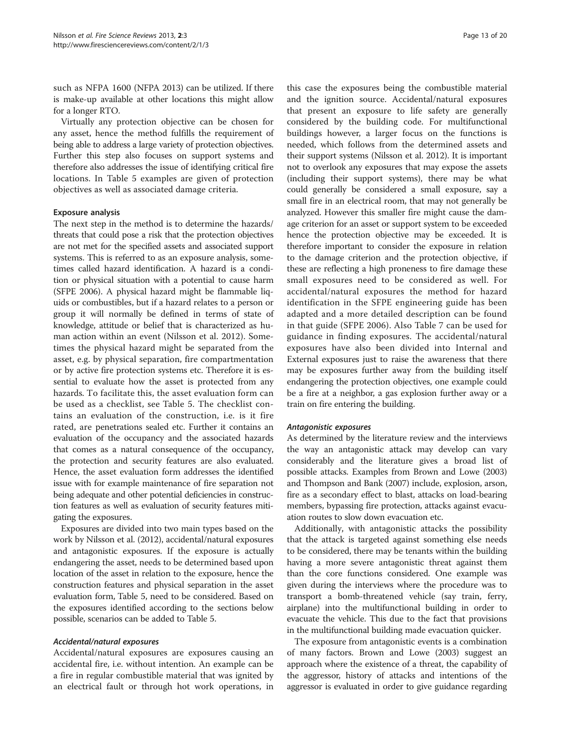such as NFPA 1600 (NFPA [2013\)](#page-18-0) can be utilized. If there is make-up available at other locations this might allow for a longer RTO.

Virtually any protection objective can be chosen for any asset, hence the method fulfills the requirement of being able to address a large variety of protection objectives. Further this step also focuses on support systems and therefore also addresses the issue of identifying critical fire locations. In Table [5](#page-11-0) examples are given of protection objectives as well as associated damage criteria.

# Exposure analysis

The next step in the method is to determine the hazards/ threats that could pose a risk that the protection objectives are not met for the specified assets and associated support systems. This is referred to as an exposure analysis, sometimes called hazard identification. A hazard is a condition or physical situation with a potential to cause harm (SFPE [2006\)](#page-19-0). A physical hazard might be flammable liquids or combustibles, but if a hazard relates to a person or group it will normally be defined in terms of state of knowledge, attitude or belief that is characterized as human action within an event (Nilsson et al. [2012](#page-18-0)). Sometimes the physical hazard might be separated from the asset, e.g. by physical separation, fire compartmentation or by active fire protection systems etc. Therefore it is essential to evaluate how the asset is protected from any hazards. To facilitate this, the asset evaluation form can be used as a checklist, see Table [5](#page-11-0). The checklist contains an evaluation of the construction, i.e. is it fire rated, are penetrations sealed etc. Further it contains an evaluation of the occupancy and the associated hazards that comes as a natural consequence of the occupancy, the protection and security features are also evaluated. Hence, the asset evaluation form addresses the identified issue with for example maintenance of fire separation not being adequate and other potential deficiencies in construction features as well as evaluation of security features mitigating the exposures.

Exposures are divided into two main types based on the work by Nilsson et al. [\(2012](#page-18-0)), accidental/natural exposures and antagonistic exposures. If the exposure is actually endangering the asset, needs to be determined based upon location of the asset in relation to the exposure, hence the construction features and physical separation in the asset evaluation form, Table [5](#page-11-0), need to be considered. Based on the exposures identified according to the sections below possible, scenarios can be added to Table [5.](#page-11-0)

# Accidental/natural exposures

Accidental/natural exposures are exposures causing an accidental fire, i.e. without intention. An example can be a fire in regular combustible material that was ignited by an electrical fault or through hot work operations, in

this case the exposures being the combustible material and the ignition source. Accidental/natural exposures that present an exposure to life safety are generally considered by the building code. For multifunctional buildings however, a larger focus on the functions is needed, which follows from the determined assets and their support systems (Nilsson et al. [2012\)](#page-18-0). It is important not to overlook any exposures that may expose the assets (including their support systems), there may be what could generally be considered a small exposure, say a small fire in an electrical room, that may not generally be analyzed. However this smaller fire might cause the damage criterion for an asset or support system to be exceeded hence the protection objective may be exceeded. It is therefore important to consider the exposure in relation to the damage criterion and the protection objective, if these are reflecting a high proneness to fire damage these small exposures need to be considered as well. For accidental/natural exposures the method for hazard identification in the SFPE engineering guide has been adapted and a more detailed description can be found in that guide (SFPE [2006\)](#page-19-0). Also Table [7](#page-13-0) can be used for guidance in finding exposures. The accidental/natural exposures have also been divided into Internal and External exposures just to raise the awareness that there may be exposures further away from the building itself endangering the protection objectives, one example could be a fire at a neighbor, a gas explosion further away or a train on fire entering the building.

# Antagonistic exposures

As determined by the literature review and the interviews the way an antagonistic attack may develop can vary considerably and the literature gives a broad list of possible attacks. Examples from Brown and Lowe [\(2003](#page-18-0)) and Thompson and Bank [\(2007\)](#page-19-0) include, explosion, arson, fire as a secondary effect to blast, attacks on load-bearing members, bypassing fire protection, attacks against evacuation routes to slow down evacuation etc.

Additionally, with antagonistic attacks the possibility that the attack is targeted against something else needs to be considered, there may be tenants within the building having a more severe antagonistic threat against them than the core functions considered. One example was given during the interviews where the procedure was to transport a bomb-threatened vehicle (say train, ferry, airplane) into the multifunctional building in order to evacuate the vehicle. This due to the fact that provisions in the multifunctional building made evacuation quicker.

The exposure from antagonistic events is a combination of many factors. Brown and Lowe [\(2003](#page-18-0)) suggest an approach where the existence of a threat, the capability of the aggressor, history of attacks and intentions of the aggressor is evaluated in order to give guidance regarding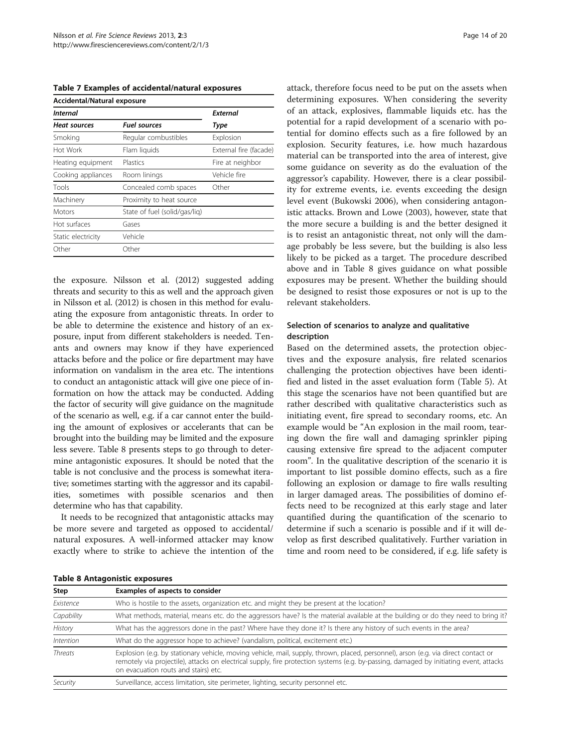<span id="page-13-0"></span>Table 7 Examples of accidental/natural exposures

| Accidental/Natural exposure |                               |                        |  |  |
|-----------------------------|-------------------------------|------------------------|--|--|
| <i>Internal</i>             |                               | External               |  |  |
| <b>Heat sources</b>         | <b>Fuel sources</b>           | Type                   |  |  |
| Smoking                     | Regular combustibles          | Explosion              |  |  |
| Hot Work                    | Flam liquids                  | External fire (facade) |  |  |
| Heating equipment           | Plastics                      | Fire at neighbor       |  |  |
| Cooking appliances          | Room linings                  | Vehicle fire           |  |  |
| Tools                       | Concealed comb spaces         | Other                  |  |  |
| Machinery                   | Proximity to heat source      |                        |  |  |
| <b>Motors</b>               | State of fuel (solid/gas/lig) |                        |  |  |
| Hot surfaces                | Gases                         |                        |  |  |
| Static electricity          | Vehicle                       |                        |  |  |
| Other                       | Other                         |                        |  |  |

the exposure. Nilsson et al. [\(2012\)](#page-18-0) suggested adding threats and security to this as well and the approach given in Nilsson et al. [\(2012\)](#page-18-0) is chosen in this method for evaluating the exposure from antagonistic threats. In order to be able to determine the existence and history of an exposure, input from different stakeholders is needed. Tenants and owners may know if they have experienced attacks before and the police or fire department may have information on vandalism in the area etc. The intentions to conduct an antagonistic attack will give one piece of information on how the attack may be conducted. Adding the factor of security will give guidance on the magnitude of the scenario as well, e.g. if a car cannot enter the building the amount of explosives or accelerants that can be brought into the building may be limited and the exposure less severe. Table 8 presents steps to go through to determine antagonistic exposures. It should be noted that the table is not conclusive and the process is somewhat iterative; sometimes starting with the aggressor and its capabilities, sometimes with possible scenarios and then determine who has that capability.

It needs to be recognized that antagonistic attacks may be more severe and targeted as opposed to accidental/ natural exposures. A well-informed attacker may know exactly where to strike to achieve the intention of the

attack, therefore focus need to be put on the assets when determining exposures. When considering the severity of an attack, explosives, flammable liquids etc. has the potential for a rapid development of a scenario with potential for domino effects such as a fire followed by an explosion. Security features, i.e. how much hazardous material can be transported into the area of interest, give some guidance on severity as do the evaluation of the aggressor's capability. However, there is a clear possibility for extreme events, i.e. events exceeding the design level event (Bukowski [2006\)](#page-18-0), when considering antagonistic attacks. Brown and Lowe ([2003](#page-18-0)), however, state that the more secure a building is and the better designed it is to resist an antagonistic threat, not only will the damage probably be less severe, but the building is also less likely to be picked as a target. The procedure described above and in Table 8 gives guidance on what possible exposures may be present. Whether the building should be designed to resist those exposures or not is up to the relevant stakeholders.

# Selection of scenarios to analyze and qualitative description

Based on the determined assets, the protection objectives and the exposure analysis, fire related scenarios challenging the protection objectives have been identified and listed in the asset evaluation form (Table [5\)](#page-11-0). At this stage the scenarios have not been quantified but are rather described with qualitative characteristics such as initiating event, fire spread to secondary rooms, etc. An example would be "An explosion in the mail room, tearing down the fire wall and damaging sprinkler piping causing extensive fire spread to the adjacent computer room". In the qualitative description of the scenario it is important to list possible domino effects, such as a fire following an explosion or damage to fire walls resulting in larger damaged areas. The possibilities of domino effects need to be recognized at this early stage and later quantified during the quantification of the scenario to determine if such a scenario is possible and if it will develop as first described qualitatively. Further variation in time and room need to be considered, if e.g. life safety is

| Step             | Examples of aspects to consider                                                                                                                                                                                                                                                                                      |
|------------------|----------------------------------------------------------------------------------------------------------------------------------------------------------------------------------------------------------------------------------------------------------------------------------------------------------------------|
| Existence        | Who is hostile to the assets, organization etc. and might they be present at the location?                                                                                                                                                                                                                           |
| Capability       | What methods, material, means etc. do the aggressors have? Is the material available at the building or do they need to bring it?                                                                                                                                                                                    |
| History          | What has the aggressors done in the past? Where have they done it? Is there any history of such events in the area?                                                                                                                                                                                                  |
| <i>Intention</i> | What do the aggressor hope to achieve? (vandalism, political, excitement etc.)                                                                                                                                                                                                                                       |
| <b>Threats</b>   | Explosion (e.g. by stationary vehicle, moving vehicle, mail, supply, thrown, placed, personnel), arson (e.g. via direct contact or<br>remotely via projectile), attacks on electrical supply, fire protection systems (e.g. by-passing, damaged by initiating event, attacks<br>on evacuation routs and stairs) etc. |
| Security         | Surveillance, access limitation, site perimeter, lighting, security personnel etc.                                                                                                                                                                                                                                   |
|                  |                                                                                                                                                                                                                                                                                                                      |

Table 8 Antagonistic exposures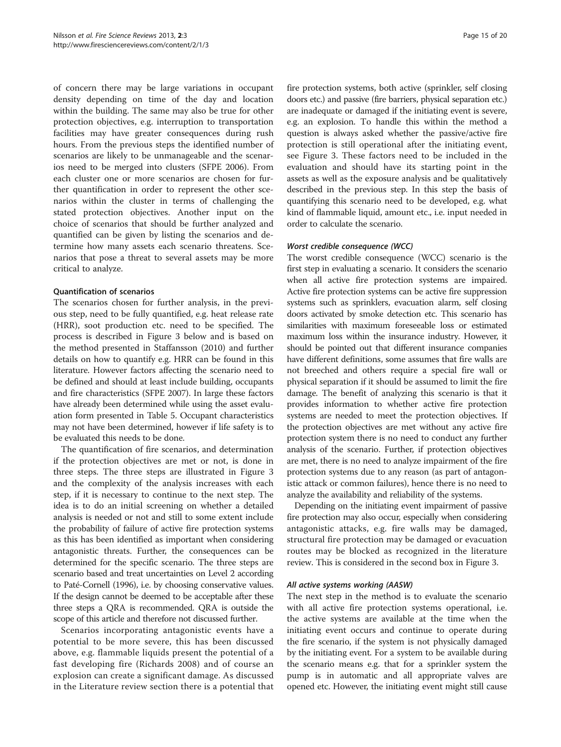<span id="page-14-0"></span>of concern there may be large variations in occupant density depending on time of the day and location within the building. The same may also be true for other protection objectives, e.g. interruption to transportation facilities may have greater consequences during rush hours. From the previous steps the identified number of scenarios are likely to be unmanageable and the scenarios need to be merged into clusters (SFPE [2006](#page-19-0)). From each cluster one or more scenarios are chosen for further quantification in order to represent the other scenarios within the cluster in terms of challenging the stated protection objectives. Another input on the choice of scenarios that should be further analyzed and quantified can be given by listing the scenarios and determine how many assets each scenario threatens. Scenarios that pose a threat to several assets may be more critical to analyze.

# Quantification of scenarios

The scenarios chosen for further analysis, in the previous step, need to be fully quantified, e.g. heat release rate (HRR), soot production etc. need to be specified. The process is described in Figure [3](#page-15-0) below and is based on the method presented in Staffansson ([2010](#page-19-0)) and further details on how to quantify e.g. HRR can be found in this literature. However factors affecting the scenario need to be defined and should at least include building, occupants and fire characteristics (SFPE [2007](#page-19-0)). In large these factors have already been determined while using the asset evaluation form presented in Table [5.](#page-11-0) Occupant characteristics may not have been determined, however if life safety is to be evaluated this needs to be done.

The quantification of fire scenarios, and determination if the protection objectives are met or not, is done in three steps. The three steps are illustrated in Figure [3](#page-15-0) and the complexity of the analysis increases with each step, if it is necessary to continue to the next step. The idea is to do an initial screening on whether a detailed analysis is needed or not and still to some extent include the probability of failure of active fire protection systems as this has been identified as important when considering antagonistic threats. Further, the consequences can be determined for the specific scenario. The three steps are scenario based and treat uncertainties on Level 2 according to Paté-Cornell ([1996\)](#page-18-0), i.e. by choosing conservative values. If the design cannot be deemed to be acceptable after these three steps a QRA is recommended. QRA is outside the scope of this article and therefore not discussed further.

Scenarios incorporating antagonistic events have a potential to be more severe, this has been discussed above, e.g. flammable liquids present the potential of a fast developing fire (Richards [2008](#page-19-0)) and of course an explosion can create a significant damage. As discussed in the [Literature review](#page-3-0) section there is a potential that fire protection systems, both active (sprinkler, self closing doors etc.) and passive (fire barriers, physical separation etc.) are inadequate or damaged if the initiating event is severe, e.g. an explosion. To handle this within the method a question is always asked whether the passive/active fire protection is still operational after the initiating event, see Figure [3.](#page-15-0) These factors need to be included in the evaluation and should have its starting point in the assets as well as the exposure analysis and be qualitatively described in the previous step. In this step the basis of quantifying this scenario need to be developed, e.g. what kind of flammable liquid, amount etc., i.e. input needed in order to calculate the scenario.

# Worst credible consequence (WCC)

The worst credible consequence (WCC) scenario is the first step in evaluating a scenario. It considers the scenario when all active fire protection systems are impaired. Active fire protection systems can be active fire suppression systems such as sprinklers, evacuation alarm, self closing doors activated by smoke detection etc. This scenario has similarities with maximum foreseeable loss or estimated maximum loss within the insurance industry. However, it should be pointed out that different insurance companies have different definitions, some assumes that fire walls are not breeched and others require a special fire wall or physical separation if it should be assumed to limit the fire damage. The benefit of analyzing this scenario is that it provides information to whether active fire protection systems are needed to meet the protection objectives. If the protection objectives are met without any active fire protection system there is no need to conduct any further analysis of the scenario. Further, if protection objectives are met, there is no need to analyze impairment of the fire protection systems due to any reason (as part of antagonistic attack or common failures), hence there is no need to analyze the availability and reliability of the systems.

Depending on the initiating event impairment of passive fire protection may also occur, especially when considering antagonistic attacks, e.g. fire walls may be damaged, structural fire protection may be damaged or evacuation routes may be blocked as recognized in the literature review. This is considered in the second box in Figure [3](#page-15-0).

# All active systems working (AASW)

The next step in the method is to evaluate the scenario with all active fire protection systems operational, i.e. the active systems are available at the time when the initiating event occurs and continue to operate during the fire scenario, if the system is not physically damaged by the initiating event. For a system to be available during the scenario means e.g. that for a sprinkler system the pump is in automatic and all appropriate valves are opened etc. However, the initiating event might still cause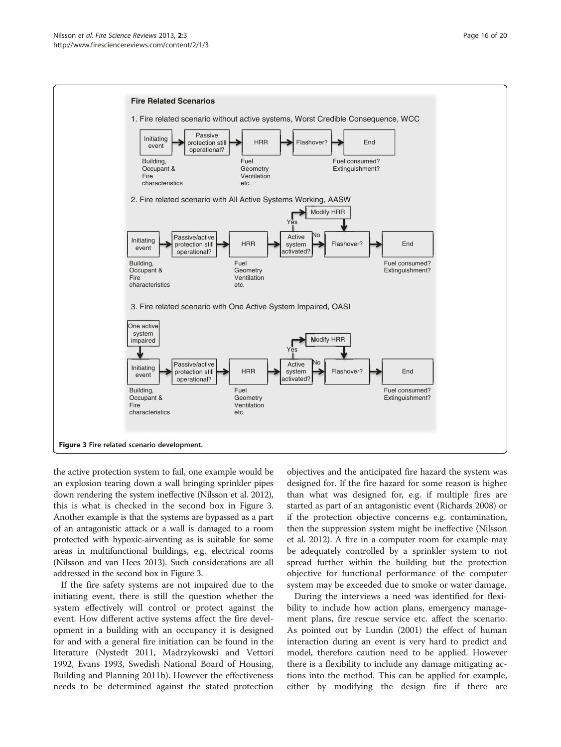<span id="page-15-0"></span>

the active protection system to fail, one example would be an explosion tearing down a wall bringing sprinkler pipes down rendering the system ineffective (Nilsson et al. [2012](#page-18-0)), this is what is checked in the second box in Figure 3. Another example is that the systems are bypassed as a part of an antagonistic attack or a wall is damaged to a room protected with hypoxic-airventing as is suitable for some areas in multifunctional buildings, e.g. electrical rooms (Nilsson and van Hees [2013](#page-18-0)). Such considerations are all addressed in the second box in Figure 3.

If the fire safety systems are not impaired due to the initiating event, there is still the question whether the system effectively will control or protect against the event. How different active systems affect the fire development in a building with an occupancy it is designed for and with a general fire initiation can be found in the literature (Nystedt [2011](#page-18-0), Madrzykowski and Vettori [1992](#page-18-0), Evans [1993,](#page-18-0) Swedish National Board of Housing, Building and Planning [2011b\)](#page-19-0). However the effectiveness needs to be determined against the stated protection objectives and the anticipated fire hazard the system was designed for. If the fire hazard for some reason is higher than what was designed for, e.g. if multiple fires are started as part of an antagonistic event (Richards [2008\)](#page-19-0) or if the protection objective concerns e.g. contamination, then the suppression system might be ineffective (Nilsson et al. [2012](#page-18-0)). A fire in a computer room for example may be adequately controlled by a sprinkler system to not spread further within the building but the protection objective for functional performance of the computer system may be exceeded due to smoke or water damage.

During the interviews a need was identified for flexibility to include how action plans, emergency management plans, fire rescue service etc. affect the scenario. As pointed out by Lundin [\(2001](#page-18-0)) the effect of human interaction during an event is very hard to predict and model, therefore caution need to be applied. However there is a flexibility to include any damage mitigating actions into the method. This can be applied for example, either by modifying the design fire if there are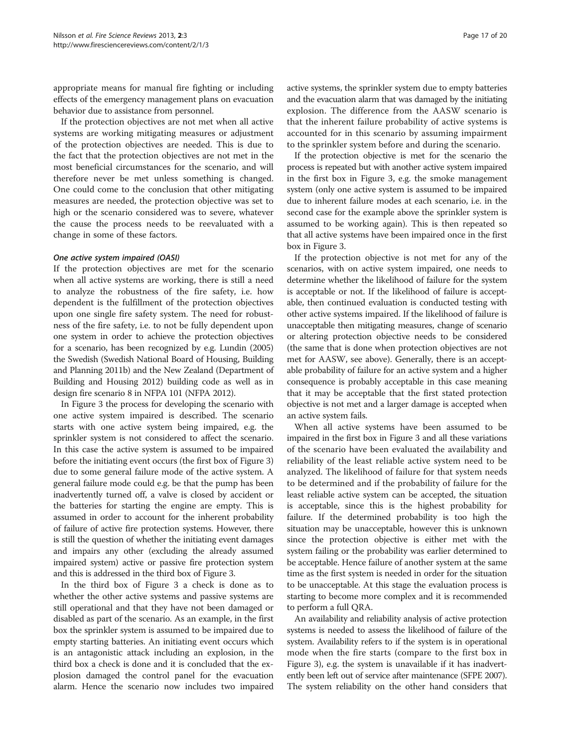appropriate means for manual fire fighting or including effects of the emergency management plans on evacuation behavior due to assistance from personnel.

If the protection objectives are not met when all active systems are working mitigating measures or adjustment of the protection objectives are needed. This is due to the fact that the protection objectives are not met in the most beneficial circumstances for the scenario, and will therefore never be met unless something is changed. One could come to the conclusion that other mitigating measures are needed, the protection objective was set to high or the scenario considered was to severe, whatever the cause the process needs to be reevaluated with a change in some of these factors.

# One active system impaired (OASI)

If the protection objectives are met for the scenario when all active systems are working, there is still a need to analyze the robustness of the fire safety, i.e. how dependent is the fulfillment of the protection objectives upon one single fire safety system. The need for robustness of the fire safety, i.e. to not be fully dependent upon one system in order to achieve the protection objectives for a scenario, has been recognized by e.g. Lundin [\(2005](#page-18-0)) the Swedish (Swedish National Board of Housing, Building and Planning [2011b\)](#page-19-0) and the New Zealand (Department of Building and Housing [2012](#page-18-0)) building code as well as in design fire scenario 8 in NFPA 101 (NFPA [2012](#page-18-0)).

In Figure [3](#page-15-0) the process for developing the scenario with one active system impaired is described. The scenario starts with one active system being impaired, e.g. the sprinkler system is not considered to affect the scenario. In this case the active system is assumed to be impaired before the initiating event occurs (the first box of Figure [3](#page-15-0)) due to some general failure mode of the active system. A general failure mode could e.g. be that the pump has been inadvertently turned off, a valve is closed by accident or the batteries for starting the engine are empty. This is assumed in order to account for the inherent probability of failure of active fire protection systems. However, there is still the question of whether the initiating event damages and impairs any other (excluding the already assumed impaired system) active or passive fire protection system and this is addressed in the third box of Figure [3.](#page-15-0)

In the third box of Figure [3](#page-15-0) a check is done as to whether the other active systems and passive systems are still operational and that they have not been damaged or disabled as part of the scenario. As an example, in the first box the sprinkler system is assumed to be impaired due to empty starting batteries. An initiating event occurs which is an antagonistic attack including an explosion, in the third box a check is done and it is concluded that the explosion damaged the control panel for the evacuation alarm. Hence the scenario now includes two impaired active systems, the sprinkler system due to empty batteries and the evacuation alarm that was damaged by the initiating explosion. The difference from the AASW scenario is that the inherent failure probability of active systems is accounted for in this scenario by assuming impairment to the sprinkler system before and during the scenario.

If the protection objective is met for the scenario the process is repeated but with another active system impaired in the first box in Figure [3](#page-15-0), e.g. the smoke management system (only one active system is assumed to be impaired due to inherent failure modes at each scenario, i.e. in the second case for the example above the sprinkler system is assumed to be working again). This is then repeated so that all active systems have been impaired once in the first box in Figure [3](#page-15-0).

If the protection objective is not met for any of the scenarios, with on active system impaired, one needs to determine whether the likelihood of failure for the system is acceptable or not. If the likelihood of failure is acceptable, then continued evaluation is conducted testing with other active systems impaired. If the likelihood of failure is unacceptable then mitigating measures, change of scenario or altering protection objective needs to be considered (the same that is done when protection objectives are not met for AASW, see above). Generally, there is an acceptable probability of failure for an active system and a higher consequence is probably acceptable in this case meaning that it may be acceptable that the first stated protection objective is not met and a larger damage is accepted when an active system fails.

When all active systems have been assumed to be impaired in the first box in Figure [3](#page-15-0) and all these variations of the scenario have been evaluated the availability and reliability of the least reliable active system need to be analyzed. The likelihood of failure for that system needs to be determined and if the probability of failure for the least reliable active system can be accepted, the situation is acceptable, since this is the highest probability for failure. If the determined probability is too high the situation may be unacceptable, however this is unknown since the protection objective is either met with the system failing or the probability was earlier determined to be acceptable. Hence failure of another system at the same time as the first system is needed in order for the situation to be unacceptable. At this stage the evaluation process is starting to become more complex and it is recommended to perform a full QRA.

An availability and reliability analysis of active protection systems is needed to assess the likelihood of failure of the system. Availability refers to if the system is in operational mode when the fire starts (compare to the first box in Figure [3](#page-15-0)), e.g. the system is unavailable if it has inadvertently been left out of service after maintenance (SFPE [2007](#page-19-0)). The system reliability on the other hand considers that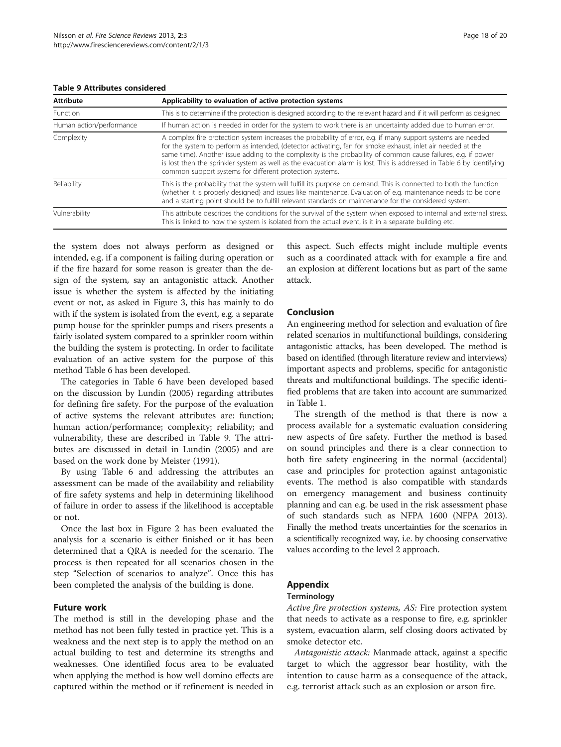<span id="page-17-0"></span>Table 9 Attributes considered

| <b>Attribute</b>         | Applicability to evaluation of active protection systems                                                                                                                                                                                                                                                                                                                                                                                                                                                                           |
|--------------------------|------------------------------------------------------------------------------------------------------------------------------------------------------------------------------------------------------------------------------------------------------------------------------------------------------------------------------------------------------------------------------------------------------------------------------------------------------------------------------------------------------------------------------------|
| Function                 | This is to determine if the protection is designed according to the relevant hazard and if it will perform as designed                                                                                                                                                                                                                                                                                                                                                                                                             |
| Human action/performance | If human action is needed in order for the system to work there is an uncertainty added due to human error.                                                                                                                                                                                                                                                                                                                                                                                                                        |
| Complexity               | A complex fire protection system increases the probability of error, e.g. if many support systems are needed<br>for the system to perform as intended, (detector activating, fan for smoke exhaust, inlet air needed at the<br>same time). Another issue adding to the complexity is the probability of common cause failures, e.g. if power<br>is lost then the sprinkler system as well as the evacuation alarm is lost. This is addressed in Table 6 by identifying<br>common support systems for different protection systems. |
| Reliability              | This is the probability that the system will fulfill its purpose on demand. This is connected to both the function<br>(whether it is properly designed) and issues like maintenance. Evaluation of e.g. maintenance needs to be done<br>and a starting point should be to fulfill relevant standards on maintenance for the considered system.                                                                                                                                                                                     |
| Vulnerability            | This attribute describes the conditions for the survival of the system when exposed to internal and external stress.<br>This is linked to how the system is isolated from the actual event, is it in a separate building etc.                                                                                                                                                                                                                                                                                                      |

the system does not always perform as designed or intended, e.g. if a component is failing during operation or if the fire hazard for some reason is greater than the design of the system, say an antagonistic attack. Another issue is whether the system is affected by the initiating event or not, as asked in Figure [3,](#page-15-0) this has mainly to do with if the system is isolated from the event, e.g. a separate pump house for the sprinkler pumps and risers presents a fairly isolated system compared to a sprinkler room within the building the system is protecting. In order to facilitate evaluation of an active system for the purpose of this method Table [6](#page-11-0) has been developed.

The categories in Table [6](#page-11-0) have been developed based on the discussion by Lundin ([2005](#page-18-0)) regarding attributes for defining fire safety. For the purpose of the evaluation of active systems the relevant attributes are: function; human action/performance; complexity; reliability; and vulnerability, these are described in Table 9. The attributes are discussed in detail in Lundin [\(2005\)](#page-18-0) and are based on the work done by Meister [\(1991\)](#page-18-0).

By using Table [6](#page-11-0) and addressing the attributes an assessment can be made of the availability and reliability of fire safety systems and help in determining likelihood of failure in order to assess if the likelihood is acceptable or not.

Once the last box in Figure [2](#page-8-0) has been evaluated the analysis for a scenario is either finished or it has been determined that a QRA is needed for the scenario. The process is then repeated for all scenarios chosen in the step "Selection of scenarios to analyze". Once this has been completed the analysis of the building is done.

# Future work

The method is still in the developing phase and the method has not been fully tested in practice yet. This is a weakness and the next step is to apply the method on an actual building to test and determine its strengths and weaknesses. One identified focus area to be evaluated when applying the method is how well domino effects are captured within the method or if refinement is needed in

this aspect. Such effects might include multiple events such as a coordinated attack with for example a fire and an explosion at different locations but as part of the same attack.

# Conclusion

An engineering method for selection and evaluation of fire related scenarios in multifunctional buildings, considering antagonistic attacks, has been developed. The method is based on identified (through literature review and interviews) important aspects and problems, specific for antagonistic threats and multifunctional buildings. The specific identified problems that are taken into account are summarized in Table [1](#page-7-0).

The strength of the method is that there is now a process available for a systematic evaluation considering new aspects of fire safety. Further the method is based on sound principles and there is a clear connection to both fire safety engineering in the normal (accidental) case and principles for protection against antagonistic events. The method is also compatible with standards on emergency management and business continuity planning and can e.g. be used in the risk assessment phase of such standards such as NFPA 1600 (NFPA [2013](#page-18-0)). Finally the method treats uncertainties for the scenarios in a scientifically recognized way, i.e. by choosing conservative values according to the level 2 approach.

# Appendix

# Terminology

Active fire protection systems, AS: Fire protection system that needs to activate as a response to fire, e.g. sprinkler system, evacuation alarm, self closing doors activated by smoke detector etc.

Antagonistic attack: Manmade attack, against a specific target to which the aggressor bear hostility, with the intention to cause harm as a consequence of the attack, e.g. terrorist attack such as an explosion or arson fire.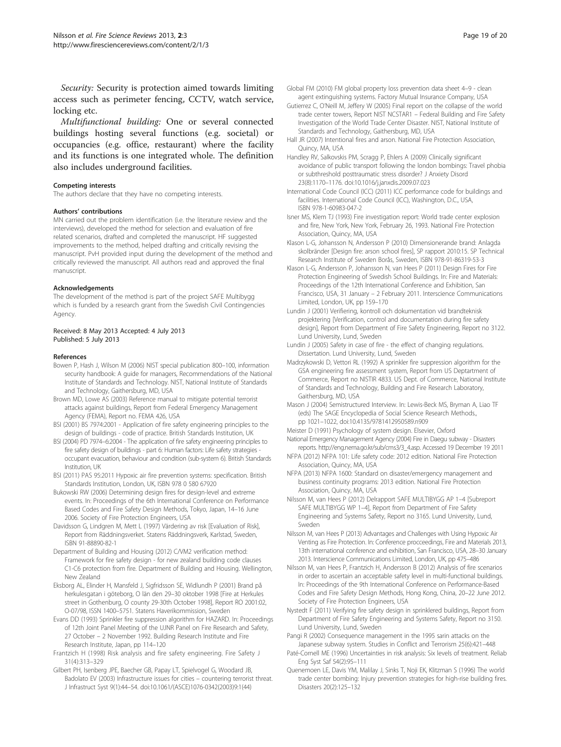<span id="page-18-0"></span>Security: Security is protection aimed towards limiting access such as perimeter fencing, CCTV, watch service, locking etc.

Multifunctional building: One or several connected buildings hosting several functions (e.g. societal) or occupancies (e.g. office, restaurant) where the facility and its functions is one integrated whole. The definition also includes underground facilities.

#### Competing interests

The authors declare that they have no competing interests.

#### Authors' contributions

MN carried out the problem identification (i.e. the literature review and the interviews), developed the method for selection and evaluation of fire related scenarios, drafted and completed the manuscript. HF suggested improvements to the method, helped drafting and critically revising the manuscript. PvH provided input during the development of the method and critically reviewed the manuscript. All authors read and approved the final manuscript.

#### Acknowledgements

The development of the method is part of the project SAFE Multibygg which is funded by a research grant from the Swedish Civil Contingencies Agency.

#### Received: 8 May 2013 Accepted: 4 July 2013 Published: 5 July 2013

#### References

- Bowen P, Hash J, Wilson M (2006) NIST special publication 800–100, information security handbook: A guide for managers, Recommendations of the National Institute of Standards and Technology. NIST, National Institute of Standards and Technology, Gaithersburg, MD, USA
- Brown MD, Lowe AS (2003) Reference manual to mitigate potential terrorist attacks against buildings, Report from Federal Emergency Management Agency (FEMA), Report no. FEMA 426, USA
- BSI (2001) BS 7974:2001 Application of fire safety engineering principles to the design of buildings - code of practice. British Standards Institution, UK
- BSI (2004) PD 7974–6:2004 The application of fire safety engineering principles to fire safety design of buildings - part 6: Human factors: Life safety strategies occupant evacuation, behaviour and condition (sub-system 6). British Standards Institution, UK
- BSI (2011) PAS 95:2011 Hypoxic air fire prevention systems: specification. British Standards Institution, London, UK, ISBN 978 0 580 67920
- Bukowski RW (2006) Determining design fires for design-level and extreme events. In: Proceedings of the 6th International Conference on Performance Based Codes and Fire Safety Design Methods, Tokyo, Japan, 14–16 June 2006. Society of Fire Protection Engineers, USA
- Davidsson G, Lindgren M, Mett L (1997) Värdering av risk [Evaluation of Risk], Report from Räddningsverket. Statens Räddningsverk, Karlstad, Sweden, ISBN 91-88890-82-1
- Department of Building and Housing (2012) C/VM2 verification method: Framework for fire safety design - for new zealand building code clauses C1-C6 protection from fire. Department of Building and Housing. Wellington, New Zealand
- Eksborg AL, Elinder H, Mansfeld J, Sigfridsson SE, Widlundh P (2001) Brand på herkulesgatan i göteborg, O län den 29–30 oktober 1998 [Fire at Herkules street in Gothenburg, O county 29-30th October 1998], Report RO 2001:02, O-07/98, ISSN 1400–5751. Statens Haverikommission, Sweden
- Evans DD (1993) Sprinkler fire suppression algorithm for HAZARD. In: Proceedings of 12th Joint Panel Meeting of the UJNR Panel on Fire Research and Safety, 27 October – 2 November 1992. Building Research Institute and Fire Research Institute, Japan, pp 114–120
- Frantzich H (1998) Risk analysis and fire safety engineering. Fire Safety J 31(4):313–329
- Gilbert PH, Isenberg JPE, Baecher GB, Papay LT, Spielvogel G, Woodard JB, Badolato EV (2003) Infrastructure issues for cities – countering terrorist threat. J Infrastruct Syst 9(1):44–54. doi[:10.1061/\(ASCE\)1076-0342\(2003\)9:1\(44\)](http://dx.doi.org/10.1061/(ASCE)1076-0342(2003)9:1(44))
- Global FM (2010) FM global property loss prevention data sheet 4–9 clean agent extinguishing systems. Factory Mutual Insurance Company, USA
- Gutierrez C, O'Neill M, Jeffery W (2005) Final report on the collapse of the world trade center towers, Report NIST NCSTAR1 – Federal Building and Fire Safety Investigation of the World Trade Center Disaster. NIST, National Institute of Standards and Technology, Gaithersburg, MD, USA
- Hall JR (2007) Intentional fires and arson. National Fire Protection Association, Quincy, MA, USA
- Handley RV, Salkovskis PM, Scragg P, Ehlers A (2009) Clinically significant avoidance of public transport following the london bombings: Travel phobia or subthreshold posttraumatic stress disorder? J Anxiety Disord 23(8):1170–1176. doi[:10.1016/j.janxdis.2009.07.023](http://dx.doi.org/10.1016/j.janxdis.2009.07.023)
- International Code Council (ICC) (2011) ICC performance code for buildings and facilities. International Code Council (ICC), Washington, D.C., USA, ISBN 978-1-60983-047-2
- Isner MS, Klem TJ (1993) Fire investigation report: World trade center explosion and fire, New York, New York, February 26, 1993. National Fire Protection Association, Quincy, MA, USA
- Klason L-G, Johansson N, Andersson P (2010) Dimensionerande brand: Anlagda skolbränder [Design fire: arson school fires], SP rapport 2010:15. SP Technical Research Institute of Sweden Borås, Sweden, ISBN 978-91-86319-53-3
- Klason L-G, Andersson P, Johansson N, van Hees P (2011) Design Fires for Fire Protection Engineering of Swedish School Buildings. In: Fire and Materials: Proceedings of the 12th International Conference and Exhibition, San Francisco, USA, 31 January – 2 February 2011. Interscience Communications Limited, London, UK, pp 159–170
- Lundin J (2001) Verifiering, kontroll och dokumentation vid brandteknisk projektering [Verification, control and documentation during fire safety design], Report from Department of Fire Safety Engineering, Report no 3122. Lund University, Lund, Sweden
- Lundin J (2005) Safety in case of fire the effect of changing regulations. Dissertation. Lund University, Lund, Sweden
- Madrzykowski D, Vettori RL (1992) A sprinkler fire suppression algorithm for the GSA engineering fire assessment system, Report from US Deptartment of Commerce, Report no NISTIR 4833. US Dept. of Commerce, National Institute of Standards and Technology, Building and Fire Research Laboratory, Gaithersburg, MD, USA
- Mason J (2004) Semistructured Interview. In: Lewis-Beck MS, Bryman A, Liao TF (eds) The SAGE Encyclopedia of Social Science Research Methods., pp 1021–1022, doi[:10.4135/9781412950589.n909](http://dx.doi.org/10.4135/9781412950589.n909)

Meister D (1991) Psychology of system design. Elsevier, Oxford National Emergency Management Agency (2004) Fire in Daegu subway - Disasters

- reports. [http://eng.nema.go.kr/sub/cms3/3\\_4.asp.](http://eng.nema.go.kr/sub/cms3/3_4.asp) Accessed 19 December 19 2011 NFPA (2012) NFPA 101: Life safety code: 2012 edition. National Fire Protection Association, Quincy, MA, USA
- NFPA (2013) NFPA 1600: Standard on disaster/emergency management and business continuity programs: 2013 edition. National Fire Protection Association, Quincy, MA, USA
- Nilsson M, van Hees P (2012) Delrapport SAFE MULTIBYGG AP 1–4 [Subreport SAFE MULTIBYGG WP 1-4], Report from Department of Fire Safety Engineering and Systems Safety, Report no 3165. Lund University, Lund, Sweden
- Nilsson M, van Hees P (2013) Advantages and Challenges with Using Hypoxic Air Venting as Fire Protection. In: Conference procceedings, Fire and Materials 2013, 13th international conference and exhibition, San Francisco, USA, 28–30 January 2013. Interscience Communications Limited, London, UK, pp 475–486
- Nilsson M, van Hees P, Frantzich H, Andersson B (2012) Analysis of fire scenarios in order to ascertain an acceptable safety level in multi-functional buildings. In: Proceedings of the 9th International Conference on Performance-Based Codes and Fire Safety Design Methods, Hong Kong, China, 20–22 June 2012. Society of Fire Protection Engineers, USA
- Nystedt F (2011) Verifying fire safety design in sprinklered buildings, Report from Department of Fire Safety Engineering and Systems Safety, Report no 3150. Lund University, Lund, Sweden
- Pangi R (2002) Consequence management in the 1995 sarin attacks on the Japanese subway system. Studies in Conflict and Terrorism 25(6):421–448
- Paté-Cornell ME (1996) Uncertainties in risk analysis: Six levels of treatment. Reliab Eng Syst Saf 54(2):95–111
- Quenemoen LE, Davis YM, Malilay J, Sinks T, Noji EK, Klitzman S (1996) The world trade center bombing: Injury prevention strategies for high-rise building fires. Disasters 20(2):125–132